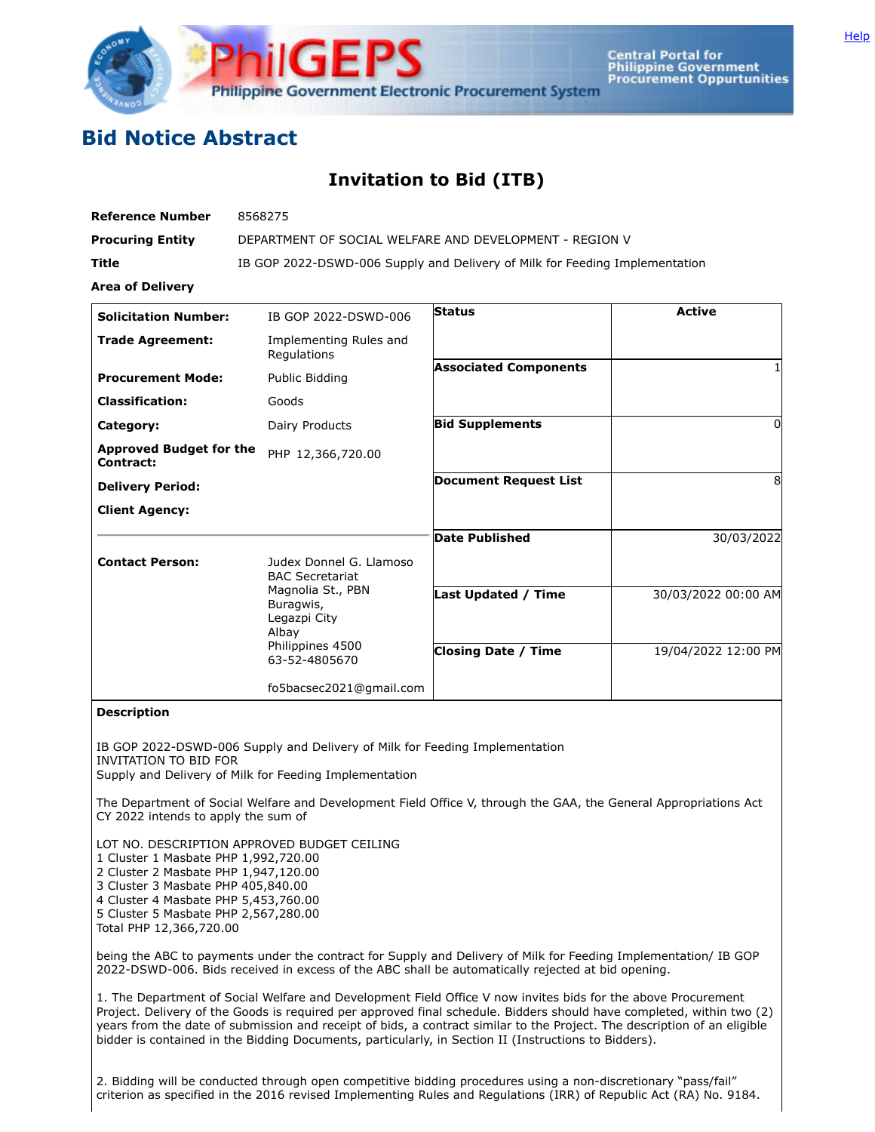

**Central Portal for Philippine Government Procurement Oppurtunities** 

## **Bid Notice Abstract**

## **Invitation to Bid (ITB)**

| <b>Reference Number</b>                     | 8568275                                                                                      |                              |                     |
|---------------------------------------------|----------------------------------------------------------------------------------------------|------------------------------|---------------------|
| <b>Procuring Entity</b>                     | DEPARTMENT OF SOCIAL WELFARE AND DEVELOPMENT - REGION V                                      |                              |                     |
| <b>Title</b>                                | IB GOP 2022-DSWD-006 Supply and Delivery of Milk for Feeding Implementation                  |                              |                     |
| <b>Area of Delivery</b>                     |                                                                                              |                              |                     |
| <b>Solicitation Number:</b>                 | IB GOP 2022-DSWD-006                                                                         | <b>Status</b>                | <b>Active</b>       |
| <b>Trade Agreement:</b>                     | Implementing Rules and<br>Regulations                                                        |                              |                     |
| <b>Procurement Mode:</b>                    | Public Bidding                                                                               | <b>Associated Components</b> |                     |
| <b>Classification:</b>                      | Goods                                                                                        |                              |                     |
| Category:                                   | Dairy Products                                                                               | <b>Bid Supplements</b>       | 0                   |
| <b>Approved Budget for the</b><br>Contract: | PHP 12,366,720.00                                                                            |                              |                     |
| <b>Delivery Period:</b>                     |                                                                                              | <b>Document Request List</b> | 8                   |
| <b>Client Agency:</b>                       |                                                                                              |                              |                     |
|                                             |                                                                                              | <b>Date Published</b>        | 30/03/2022          |
| <b>Contact Person:</b>                      | Judex Donnel G. Llamoso<br><b>BAC Secretariat</b>                                            |                              |                     |
|                                             | Magnolia St., PBN<br>Buragwis,<br>Legazpi City<br>Albay<br>Philippines 4500<br>63-52-4805670 | <b>Last Updated / Time</b>   | 30/03/2022 00:00 AM |
|                                             |                                                                                              | <b>Closing Date / Time</b>   | 19/04/2022 12:00 PM |
|                                             | fo5bacsec2021@gmail.com                                                                      |                              |                     |

## **Description**

IB GOP 2022-DSWD-006 Supply and Delivery of Milk for Feeding Implementation INVITATION TO BID FOR Supply and Delivery of Milk for Feeding Implementation

The Department of Social Welfare and Development Field Office V, through the GAA, the General Appropriations Act CY 2022 intends to apply the sum of

LOT NO. DESCRIPTION APPROVED BUDGET CEILING Cluster 1 Masbate PHP 1,992,720.00 Cluster 2 Masbate PHP 1,947,120.00 Cluster 3 Masbate PHP 405,840.00 Cluster 4 Masbate PHP 5,453,760.00 Cluster 5 Masbate PHP 2,567,280.00 Total PHP 12,366,720.00

being the ABC to payments under the contract for Supply and Delivery of Milk for Feeding Implementation/ IB GOP 2022-DSWD-006. Bids received in excess of the ABC shall be automatically rejected at bid opening.

1. The Department of Social Welfare and Development Field Office V now invites bids for the above Procurement Project. Delivery of the Goods is required per approved final schedule. Bidders should have completed, within two (2) years from the date of submission and receipt of bids, a contract similar to the Project. The description of an eligible bidder is contained in the Bidding Documents, particularly, in Section II (Instructions to Bidders).

2. Bidding will be conducted through open competitive bidding procedures using a non-discretionary "pass/fail" criterion as specified in the 2016 revised Implementing Rules and Regulations (IRR) of Republic Act (RA) No. 9184.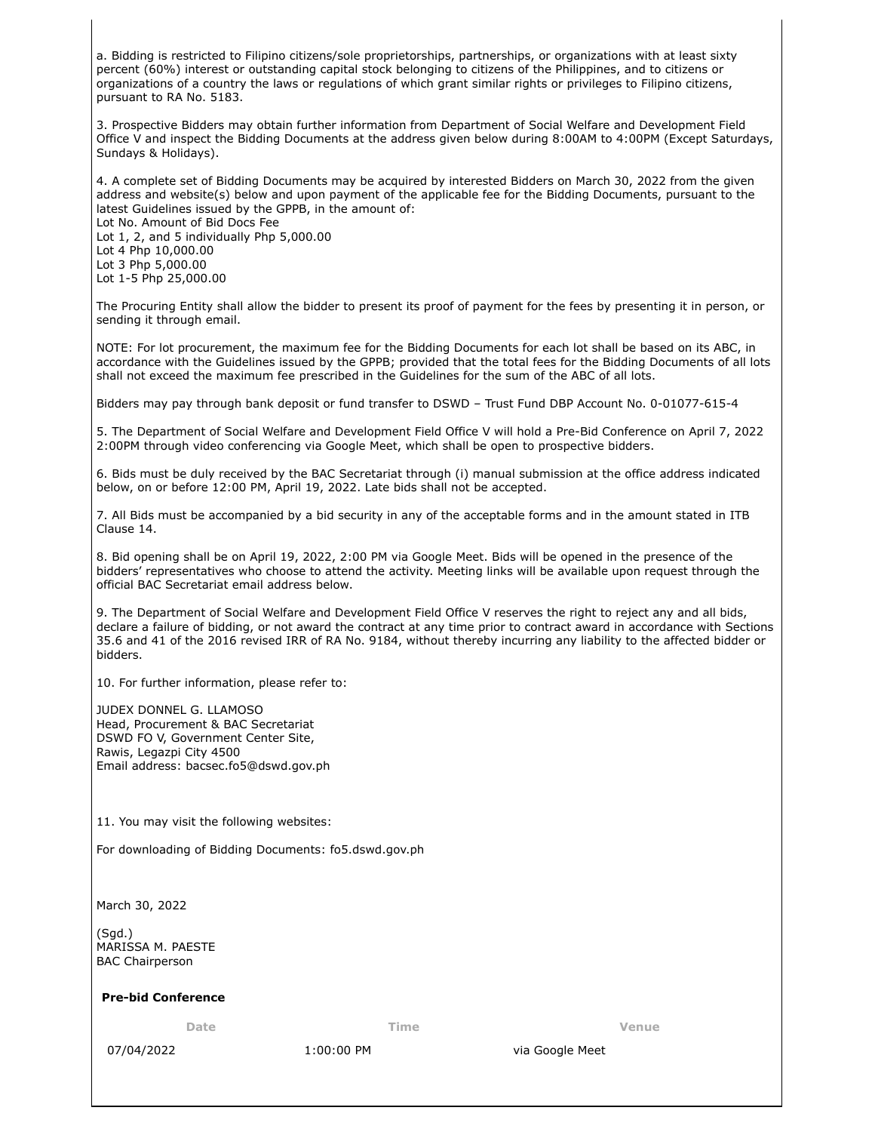a. Bidding is restricted to Filipino citizens/sole proprietorships, partnerships, or organizations with at least sixty percent (60%) interest or outstanding capital stock belonging to citizens of the Philippines, and to citizens or organizations of a country the laws or regulations of which grant similar rights or privileges to Filipino citizens, pursuant to RA No. 5183.

3. Prospective Bidders may obtain further information from Department of Social Welfare and Development Field Office V and inspect the Bidding Documents at the address given below during 8:00AM to 4:00PM (Except Saturdays, Sundays & Holidays).

4. A complete set of Bidding Documents may be acquired by interested Bidders on March 30, 2022 from the given address and website(s) below and upon payment of the applicable fee for the Bidding Documents, pursuant to the latest Guidelines issued by the GPPB, in the amount of: Lot No. Amount of Bid Docs Fee Lot 1, 2, and 5 individually Php 5,000.00 Lot 4 Php 10,000.00 Lot 3 Php 5,000.00

Lot 1-5 Php 25,000.00

The Procuring Entity shall allow the bidder to present its proof of payment for the fees by presenting it in person, or sending it through email.

NOTE: For lot procurement, the maximum fee for the Bidding Documents for each lot shall be based on its ABC, in accordance with the Guidelines issued by the GPPB; provided that the total fees for the Bidding Documents of all lots shall not exceed the maximum fee prescribed in the Guidelines for the sum of the ABC of all lots.

Bidders may pay through bank deposit or fund transfer to DSWD – Trust Fund DBP Account No. 0-01077-615-4

5. The Department of Social Welfare and Development Field Office V will hold a Pre-Bid Conference on April 7, 2022 2:00PM through video conferencing via Google Meet, which shall be open to prospective bidders.

6. Bids must be duly received by the BAC Secretariat through (i) manual submission at the office address indicated below, on or before 12:00 PM, April 19, 2022. Late bids shall not be accepted.

7. All Bids must be accompanied by a bid security in any of the acceptable forms and in the amount stated in ITB Clause 14.

8. Bid opening shall be on April 19, 2022, 2:00 PM via Google Meet. Bids will be opened in the presence of the bidders' representatives who choose to attend the activity. Meeting links will be available upon request through the official BAC Secretariat email address below.

9. The Department of Social Welfare and Development Field Office V reserves the right to reject any and all bids, declare a failure of bidding, or not award the contract at any time prior to contract award in accordance with Sections 35.6 and 41 of the 2016 revised IRR of RA No. 9184, without thereby incurring any liability to the affected bidder or bidders.

10. For further information, please refer to:

JUDEX DONNEL G. LLAMOSO Head, Procurement & BAC Secretariat DSWD FO V, Government Center Site, Rawis, Legazpi City 4500 Email address: bacsec.fo5@dswd.gov.ph

11. You may visit the following websites:

For downloading of Bidding Documents: fo5.dswd.gov.ph

March 30, 2022

(Sgd.) MARISSA M. PAESTE BAC Chairperson

## **Pre-bid Conference**

**Date Time Venue**

07/04/2022 1:00:00 PM via Google Meet